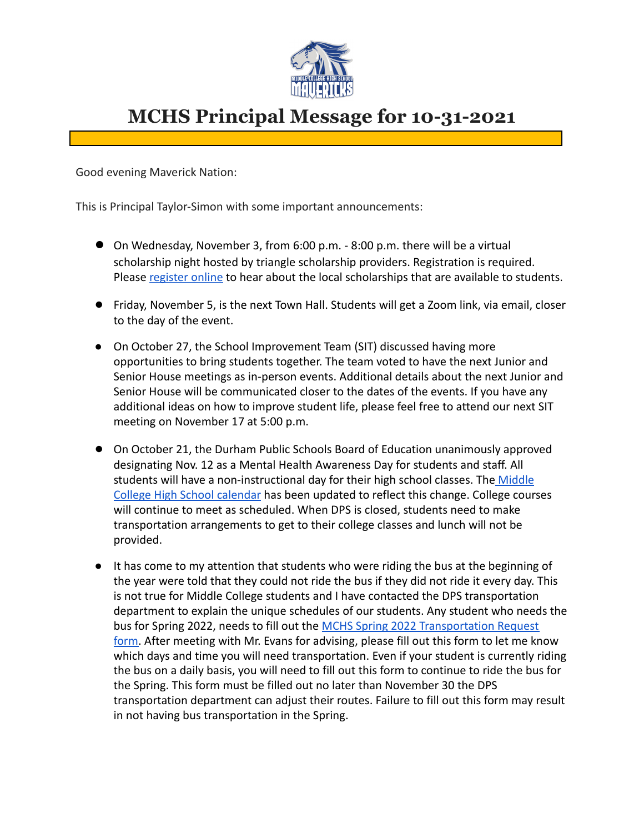

## **MCHS Principal Message for 10-31-2021**

Good evening Maverick Nation:

This is Principal Taylor-Simon with some important announcements:

- On Wednesday, November 3, from 6:00 p.m. 8:00 p.m. there will be a virtual scholarship night hosted by triangle scholarship providers. Registration is required. Please [register online](http://bit.ly/TSN-REGISTER) to hear about the local scholarships that are available to students.
- Friday, November 5, is the next Town Hall. Students will get a Zoom link, via email, closer to the day of the event.
- On October 27, the School Improvement Team (SIT) discussed having more opportunities to bring students together. The team voted to have the next Junior and Senior House meetings as in-person events. Additional details about the next Junior and Senior House will be communicated closer to the dates of the events. If you have any additional ideas on how to improve student life, please feel free to attend our next SIT meeting on November 17 at 5:00 p.m.
- On October 21, the Durham Public Schools Board of Education unanimously approved designating Nov. 12 as a Mental Health Awareness Day for students and staff. All students will have a non-instructional day for their high school classes. The [Middle](https://drive.google.com/file/d/1xkRid7bdFHsoNXTy__JO2_KOXcMcyTXV/view) [College High School calendar](https://drive.google.com/file/d/1xkRid7bdFHsoNXTy__JO2_KOXcMcyTXV/view) has been updated to reflect this change. College courses will continue to meet as scheduled. When DPS is closed, students need to make transportation arrangements to get to their college classes and lunch will not be provided.
- It has come to my attention that students who were riding the bus at the beginning of the year were told that they could not ride the bus if they did not ride it every day. This is not true for Middle College students and I have contacted the DPS transportation department to explain the unique schedules of our students. Any student who needs the bus for Spring 2022, needs to fill out the MCHS Spring [2022 Transportation Request](https://docs.google.com/forms/d/e/1FAIpQLSe7EIgw8Q_Om06_LvLL9c1DKvOYL-GQdZ-b0sfY8HQ6u_rbQA/viewform) [form.](https://docs.google.com/forms/d/e/1FAIpQLSe7EIgw8Q_Om06_LvLL9c1DKvOYL-GQdZ-b0sfY8HQ6u_rbQA/viewform) After meeting with Mr. Evans for advising, please fill out this form to let me know which days and time you will need transportation. Even if your student is currently riding the bus on a daily basis, you will need to fill out this form to continue to ride the bus for the Spring. This form must be filled out no later than November 30 the DPS transportation department can adjust their routes. Failure to fill out this form may result in not having bus transportation in the Spring.